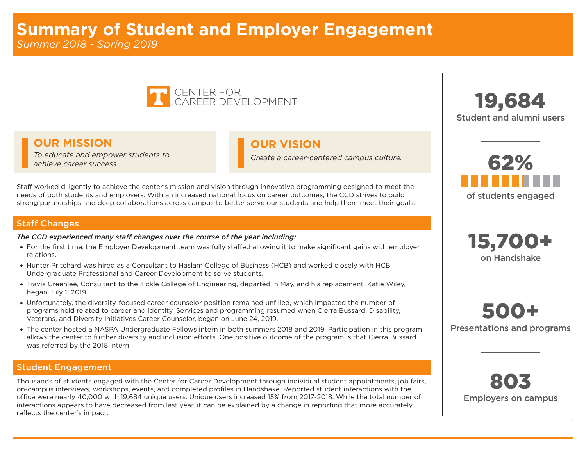

### **OUR MISSION OUR VISION**

*To educate and empower students to achieve career success*. *Create a career-centered campus culture.*

Staff worked diligently to achieve the center's mission and vision through innovative programming designed to meet the needs of both students and employers. With an increased national focus on career outcomes, the CCD strives to build strong partnerships and deep collaborations across campus to better serve our students and help them meet their goals.

#### Staff Changes

#### *The CCD experienced many staff changes over the course of the year including:*

- For the first time, the Employer Development team was fully staffed allowing it to make significant gains with employer relations.
- • Hunter Pritchard was hired as a Consultant to Haslam College of Business (HCB) and worked closely with HCB Undergraduate Professional and Career Development to serve students.
- • Travis Greenlee, Consultant to the Tickle College of Engineering, departed in May, and his replacement, Katie Wiley, began July 1, 2019.
- • Unfortunately, the diversity-focused career counselor position remained unfilled, which impacted the number of programs held related to career and identity. Services and programming resumed when Cierra Bussard, Disability, Veterans, and Diversity Initiatives Career Counselor, began on June 24, 2019.
- The center hosted a NASPA Undergraduate Fellows intern in both summers 2018 and 2019. Participation in this program allows the center to further diversity and inclusion efforts. One positive outcome of the program is that Cierra Bussard was referred by the 2018 intern.

### Student Engagement

Thousands of students engaged with the Center for Career Development through individual student appointments, job fairs, on-campus interviews, workshops, events, and completed profiles in Handshake. Reported student interactions with the office were nearly 40,000 with 19,684 unique users. Unique users increased 15% from 2017-2018. While the total number of interactions appears to have decreased from last year, it can be explained by a change in reporting that more accurately reflects the center's impact.







500+ Presentations and programs

803 Employers on campus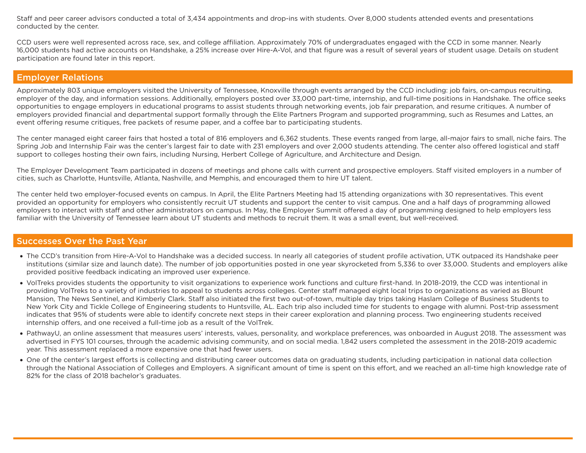Staff and peer career advisors conducted a total of 3,434 appointments and drop-ins with students. Over 8,000 students attended events and presentations conducted by the center.

CCD users were well represented across race, sex, and college affiliation. Approximately 70% of undergraduates engaged with the CCD in some manner. Nearly 16,000 students had active accounts on Handshake, a 25% increase over Hire-A-Vol, and that figure was a result of several years of student usage. Details on student participation are found later in this report.

### Employer Relations

Approximately 803 unique employers visited the University of Tennessee, Knoxville through events arranged by the CCD including: job fairs, on-campus recruiting, employer of the day, and information sessions. Additionally, employers posted over 33,000 part-time, internship, and full-time positions in Handshake. The office seeks opportunities to engage employers in educational programs to assist students through networking events, job fair preparation, and resume critiques. A number of employers provided financial and departmental support formally through the Elite Partners Program and supported programming, such as Resumes and Lattes, an event offering resume critiques, free packets of resume paper, and a coffee bar to participating students.

The center managed eight career fairs that hosted a total of 816 employers and 6,362 students. These events ranged from large, all-major fairs to small, niche fairs. The Spring Job and Internship Fair was the center's largest fair to date with 231 employers and over 2,000 students attending. The center also offered logistical and staff support to colleges hosting their own fairs, including Nursing, Herbert College of Agriculture, and Architecture and Design.

The Employer Development Team participated in dozens of meetings and phone calls with current and prospective employers. Staff visited employers in a number of cities, such as Charlotte, Huntsville, Atlanta, Nashville, and Memphis, and encouraged them to hire UT talent.

The center held two employer-focused events on campus. In April, the Elite Partners Meeting had 15 attending organizations with 30 representatives. This event provided an opportunity for employers who consistently recruit UT students and support the center to visit campus. One and a half days of programming allowed employers to interact with staff and other administrators on campus. In May, the Employer Summit offered a day of programming designed to help employers less familiar with the University of Tennessee learn about UT students and methods to recruit them. It was a small event, but well-received.

#### Successes Over the Past Year

- The CCD's transition from Hire-A-Vol to Handshake was a decided success. In nearly all categories of student profile activation, UTK outpaced its Handshake peer institutions (similar size and launch date). The number of job opportunities posted in one year skyrocketed from 5,336 to over 33,000. Students and employers alike provided positive feedback indicating an improved user experience.
- • VolTreks provides students the opportunity to visit organizations to experience work functions and culture first-hand. In 2018-2019, the CCD was intentional in providing VolTreks to a variety of industries to appeal to students across colleges. Center staff managed eight local trips to organizations as varied as Blount Mansion, The News Sentinel, and Kimberly Clark. Staff also initiated the first two out-of-town, multiple day trips taking Haslam College of Business Students to New York City and Tickle College of Engineering students to Huntsville, AL. Each trip also included time for students to engage with alumni. Post-trip assessment indicates that 95% of students were able to identify concrete next steps in their career exploration and planning process. Two engineering students received internship offers, and one received a full-time job as a result of the VolTrek.
- • PathwayU, an online assessment that measures users' interests, values, personality, and workplace preferences, was onboarded in August 2018. The assessment was advertised in FYS 101 courses, through the academic advising community, and on social media. 1,842 users completed the assessment in the 2018-2019 academic year. This assessment replaced a more expensive one that had fewer users.
- • One of the center's largest efforts is collecting and distributing career outcomes data on graduating students, including participation in national data collection through the National Association of Colleges and Employers. A significant amount of time is spent on this effort, and we reached an all-time high knowledge rate of 82% for the class of 2018 bachelor's graduates.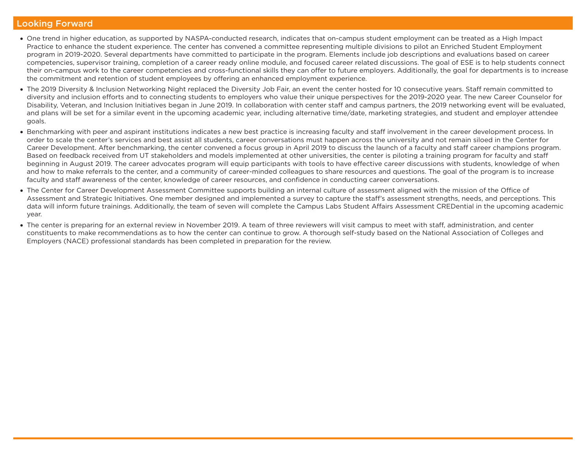#### Looking Forward

- • One trend in higher education, as supported by NASPA-conducted research, indicates that on-campus student employment can be treated as a High Impact Practice to enhance the student experience. The center has convened a committee representing multiple divisions to pilot an Enriched Student Employment program in 2019-2020. Several departments have committed to participate in the program. Elements include job descriptions and evaluations based on career competencies, supervisor training, completion of a career ready online module, and focused career related discussions. The goal of ESE is to help students connect their on-campus work to the career competencies and cross-functional skills they can offer to future employers. Additionally, the goal for departments is to increase the commitment and retention of student employees by offering an enhanced employment experience.
- The 2019 Diversity & Inclusion Networking Night replaced the Diversity Job Fair, an event the center hosted for 10 consecutive years. Staff remain committed to diversity and inclusion efforts and to connecting students to employers who value their unique perspectives for the 2019-2020 year. The new Career Counselor for Disability, Veteran, and Inclusion Initiatives began in June 2019. In collaboration with center staff and campus partners, the 2019 networking event will be evaluated, and plans will be set for a similar event in the upcoming academic year, including alternative time/date, marketing strategies, and student and employer attendee goals.
- Benchmarking with peer and aspirant institutions indicates a new best practice is increasing faculty and staff involvement in the career development process. In order to scale the center's services and best assist all students, career conversations must happen across the university and not remain siloed in the Center for Career Development. After benchmarking, the center convened a focus group in April 2019 to discuss the launch of a faculty and staff career champions program. Based on feedback received from UT stakeholders and models implemented at other universities, the center is piloting a training program for faculty and staff beginning in August 2019. The career advocates program will equip participants with tools to have effective career discussions with students, knowledge of when and how to make referrals to the center, and a community of career-minded colleagues to share resources and questions. The goal of the program is to increase faculty and staff awareness of the center, knowledge of career resources, and confidence in conducting career conversations.
- The Center for Career Development Assessment Committee supports building an internal culture of assessment aligned with the mission of the Office of Assessment and Strategic Initiatives. One member designed and implemented a survey to capture the staff's assessment strengths, needs, and perceptions. This data will inform future trainings. Additionally, the team of seven will complete the Campus Labs Student Affairs Assessment CREDential in the upcoming academic year.
- The center is preparing for an external review in November 2019. A team of three reviewers will visit campus to meet with staff, administration, and center constituents to make recommendations as to how the center can continue to grow. A thorough self-study based on the National Association of Colleges and Employers (NACE) professional standards has been completed in preparation for the review.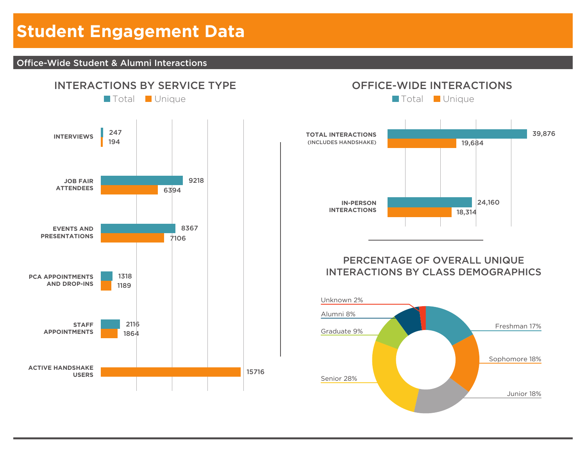# **Student Engagement Data**

### Office-Wide Student & Alumni Interactions



## OFFICE-WIDE INTERACTIONS



### PERCENTAGE OF OVERALL UNIQUE INTERACTIONS BY CLASS DEMOGRAPHICS

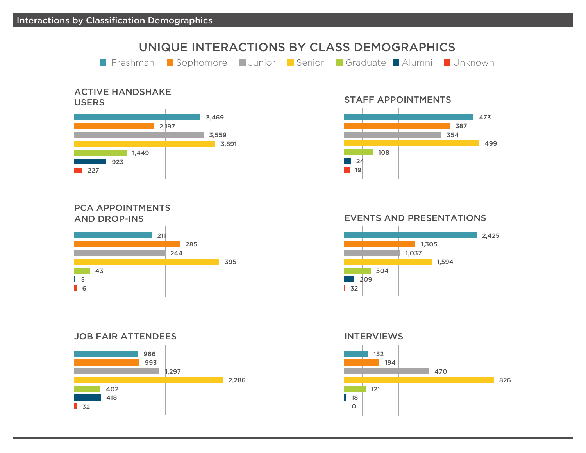# UNIQUE INTERACTIONS BY CLASS DEMOGRAPHICS **Filter Freshman Bushomore Junior Benior Graduate Alumni Bunknown**



### PCA APPOINTMENTS AND DROP-INS



### JOB FAIR ATTENDEES



STAFF APPOINTMENTS



EVENTS AND PRESENTATIONS



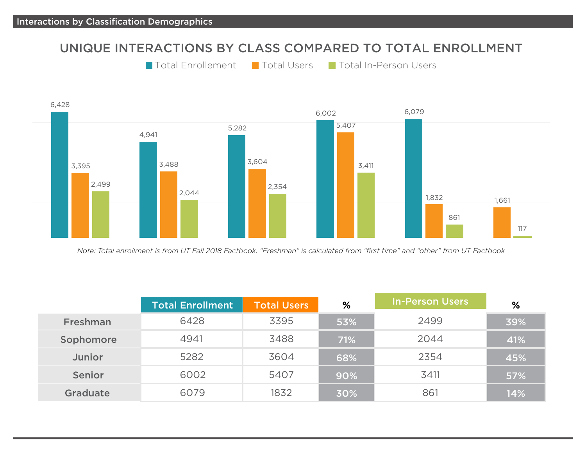### UNIQUE INTERACTIONS BY CLASS COMPARED TO TOTAL ENROLLMENT

```
Total Enrollement Total Users Total In-Person Users
```


*Note: Total enrollment is from UT Fall 2018 Factbook. "Freshman" is calculated from "first time" and "other" from UT Factbook*

|                 | <b>Total Enrollment</b> | <b>Total Users</b> | %   | <b>In-Person Users</b> | %   |
|-----------------|-------------------------|--------------------|-----|------------------------|-----|
| Freshman        | 6428                    | 3395               | 53% | 2499                   | 39% |
| Sophomore       | 4941                    | 3488               | 71% | 2044                   | 41% |
| Junior          | 5282                    | 3604               | 68% | 2354                   | 45% |
| Senior          | 6002                    | 5407               | 90% | 3411                   | 57% |
| <b>Graduate</b> | 6079                    | 1832               | 30% | 861                    | 14% |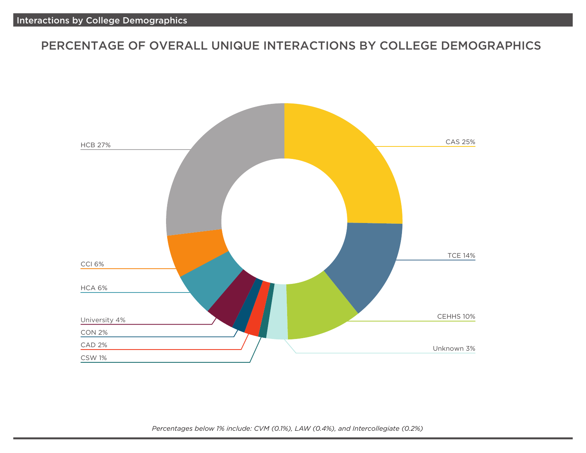### PERCENTAGE OF OVERALL UNIQUE INTERACTIONS BY COLLEGE DEMOGRAPHICS



*Percentages below 1% include: CVM (0.1%), LAW (0.4%), and Intercollegiate (0.2%)*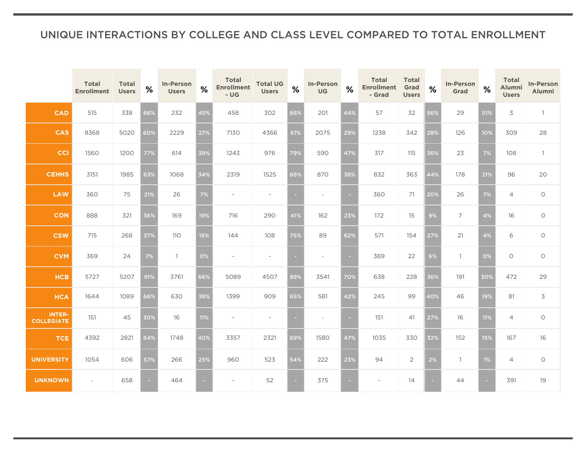### UNIQUE INTERACTIONS BY COLLEGE AND CLASS LEVEL COMPARED TO TOTAL ENROLLMENT

|                                    | <b>Total</b><br><b>Enrollment</b> | <b>Total</b><br><b>Users</b> | $\%$ | <b>In-Person</b><br><b>Users</b> | %   | <b>Total</b><br><b>Enrollment</b><br>$-UG$ | <b>Total UG</b><br><b>Users</b> | %      | <b>In-Person</b><br><b>UG</b> | %      | <b>Total</b><br><b>Enrollment</b><br>- Grad | <b>Total</b><br>Grad<br><b>Users</b> | %   | <b>In-Person</b><br>Grad | %     | <b>Total</b><br>Alumni<br><b>Users</b> | <b>In-Person</b><br>Alumni |
|------------------------------------|-----------------------------------|------------------------------|------|----------------------------------|-----|--------------------------------------------|---------------------------------|--------|-------------------------------|--------|---------------------------------------------|--------------------------------------|-----|--------------------------|-------|----------------------------------------|----------------------------|
| <b>CAD</b>                         | 515                               | 338                          | 66%  | 232                              | 45% | 458                                        | 302                             | 66%    | 201                           | 44%    | 57                                          | 32                                   | 56% | 29                       | 51%   | 3                                      | $\overline{1}$             |
| <b>CAS</b>                         | 8368                              | 5020                         | 60%  | 2229                             | 27% | 7130                                       | 4366                            | 61%    | 2075                          | 29%    | 1238                                        | 342                                  | 28% | 126                      | 10%   | 309                                    | 28                         |
| <b>CCI</b>                         | 1560                              | 1200                         | 77%  | 614                              | 39% | 1243                                       | 976                             | 79%    | 590                           | 47%    | 317                                         | 115                                  | 36% | 23                       | 7%    | 108                                    | $\overline{1}$             |
| <b>CEHHS</b>                       | 3151                              | 1985                         | 63%  | 1068                             | 34% | 2319                                       | 1525                            | 66%    | 870                           | 38%    | 832                                         | 363                                  | 44% | 178                      | 21%   | 96                                     | 20                         |
| <b>LAW</b>                         | 360                               | 75                           | 21%  | 26                               | 7%  | $\overline{\phantom{a}}$                   | $\overline{\phantom{a}}$        | $\sim$ | $\sim$                        | $\sim$ | 360                                         | 71                                   | 20% | 26                       | $7\%$ | $\overline{4}$                         | $\circlearrowright$        |
| <b>CON</b>                         | 888                               | 321                          | 36%  | 169                              | 19% | 716                                        | 290                             | 41%    | 162                           | 23%    | 172                                         | 15                                   | 9%  | $\overline{7}$           | 4%    | 16                                     | $\circlearrowright$        |
| <b>CSW</b>                         | 715                               | 268                          | 37%  | 110                              | 15% | 144                                        | 108                             | 75%    | 89                            | 62%    | 571                                         | 154                                  | 27% | 21                       | 4%    | 6                                      | $\circ$                    |
| <b>CVM</b>                         | 369                               | 24                           | 7%   | $\mathbf{1}$                     | 0%  | $\overline{\phantom{a}}$                   | $\overline{\phantom{a}}$        | $\sim$ | $\sim$                        | ш      | 369                                         | 22                                   | 6%  | $\overline{1}$           | 0%    | $\circlearrowright$                    | $\bigcirc$                 |
| <b>HCB</b>                         | 5727                              | 5207                         | 91%  | 3761                             | 66% | 5089                                       | 4507                            | 89%    | 3541                          | 70%    | 638                                         | 228                                  | 36% | 191                      | 30%   | 472                                    | 29                         |
| <b>HCA</b>                         | 1644                              | 1089                         | 66%  | 630                              | 38% | 1399                                       | 909                             | 65%    | 581                           | 42%    | 245                                         | 99                                   | 40% | 46                       | 19%   | 81                                     | 3                          |
| <b>INTER-</b><br><b>COLLEGIATE</b> | 151                               | 45                           | 30%  | 16                               | 11% | $\overline{\phantom{a}}$                   | $\overline{\phantom{a}}$        | ь      | $\overline{\phantom{a}}$      | ×.     | 151                                         | 41                                   | 27% | 16                       | 11%   | 4                                      | $\bigcirc$                 |
| <b>TCE</b>                         | 4392                              | 2821                         | 64%  | 1748                             | 40% | 3357                                       | 2321                            | 69%    | 1580                          | 47%    | 1035                                        | 330                                  | 32% | 152                      | 15%   | 167                                    | 16                         |
| <b>UNIVERSITY</b>                  | 1054                              | 606                          | 57%  | 266                              | 25% | 960                                        | 523                             | 54%    | 222                           | 23%    | 94                                          | $\overline{2}$                       | 2%  | $\overline{1}$           | $1\%$ | $\overline{4}$                         | $\circ$                    |
| <b>UNKNOWN</b>                     | $\sim$                            | 658                          |      | 464                              |     |                                            | 52                              | ь      | 375                           | $\sim$ |                                             | 14                                   |     | 44                       |       | 391                                    | 19                         |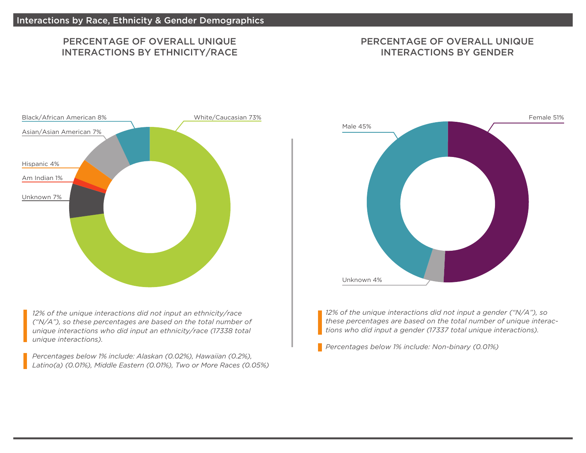### PERCENTAGE OF OVERALL UNIQUE INTERACTIONS BY ETHNICITY/RACE

### PERCENTAGE OF OVERALL UNIQUE INTERACTIONS BY GENDER



*12% of the unique interactions did not input an ethnicity/race ("N/A"), so these percentages are based on the total number of unique interactions who did input an ethnicity/race (17338 total unique interactions).* 

*Percentages below 1% include: Alaskan (0.02%), Hawaiian (0.2%), Latino(a) (0.01%), Middle Eastern (0.01%), Two or More Races (0.05%)*



*12% of the unique interactions did not input a gender ("N/A"), so these percentages are based on the total number of unique interactions who did input a gender (17337 total unique interactions).* 

*Percentages below 1% include: Non-binary (0.01%)*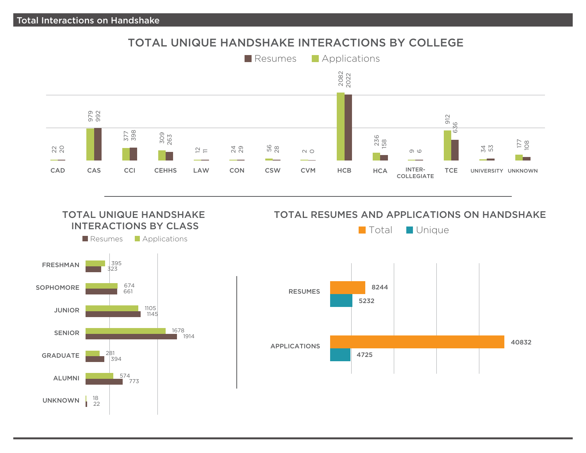### TOTAL UNIQUE HANDSHAKE INTERACTIONS BY COLLEGE





### TOTAL UNIQUE HANDSHAKE TOTAL RESUMES AND APPLICATIONS ON HANDSHAKE

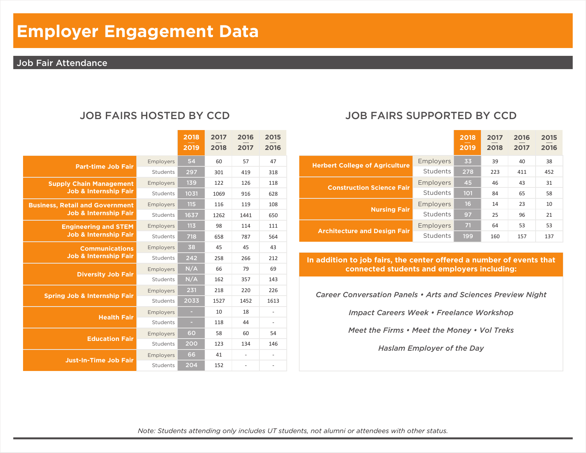# **Employer Engagement Data**

### Job Fair Attendance

|                                         |           | 2018<br>2019 | 2017<br>2018 | 2016<br>2017             | 2015<br>2016             |
|-----------------------------------------|-----------|--------------|--------------|--------------------------|--------------------------|
| <b>Part-time Job Fair</b>               | Employers | 54           | 60           | 57                       | 47                       |
|                                         | Students  | 297          | 301          | 419                      | 318                      |
| <b>Supply Chain Management</b>          | Employers | 139          | 122          | 126                      | 118                      |
| <b>Job &amp; Internship Fair</b>        | Students  | 1031         | 1069         | 916                      | 628                      |
| <b>Business, Retail and Government</b>  | Employers | 115          | 116          | 119                      | 108                      |
| <b>Job &amp; Internship Fair</b>        | Students  | 1637         | 1262         | 1441                     | 650                      |
| <b>Engineering and STEM</b>             | Employers | 113          | 98           | 114                      | 111                      |
| <b>Job &amp; Internship Fair</b>        | Students  | 718          | 658          | 787                      | 564                      |
| <b>Communications</b>                   | Employers | 38           | 45           | 45                       | 43                       |
| <b>Job &amp; Internship Fair</b>        | Students  | 242          | 258          | 266                      | 212                      |
|                                         | Employers | N/A          | 66           | 79                       | 69                       |
| <b>Diversity Job Fair</b>               | Students  | N/A          | 162          | 357                      | 143                      |
|                                         | Employers | 231          | 218          | 220                      | 226                      |
| <b>Spring Job &amp; Internship Fair</b> | Students  | 2033         | 1527         | 1452                     | 1613                     |
|                                         | Employers | $\sim$       | 10           | 18                       | -                        |
| <b>Health Fair</b>                      | Students  | ×            | 118          | 44                       | $\overline{\phantom{a}}$ |
|                                         | Employers | 60           | 58           | 60                       | 54                       |
| <b>Education Fair</b>                   | Students  | 200          | 123          | 134                      | 146                      |
|                                         | Employers | 66           | 41           | $\overline{\phantom{a}}$ |                          |
| <b>Just-In-Time Job Fair</b>            | Students  | 204          | 152          | $\overline{\phantom{a}}$ | $\overline{\phantom{m}}$ |

### JOB FAIRS HOSTED BY CCD JOB FAIRS SUPPORTED BY CCD

|                                       |           | 2018<br>2019 | 2017<br>2018 | 2016<br>2017 | 2015<br>2016 |
|---------------------------------------|-----------|--------------|--------------|--------------|--------------|
| <b>Herbert College of Agriculture</b> | Employers | 33           | 39           | 40           | 38           |
|                                       | Students  | 278          | 223          | 411          | 452          |
| <b>Construction Science Fair</b>      | Employers | 45           | 46           | 43           | 31           |
|                                       | Students  | 101          | 84           | 65           | 58           |
|                                       | Employers | 16           | 14           | 23           | 10           |
| <b>Nursing Fair</b>                   | Students  | 97           | 25           | 96           | 21           |
|                                       | Employers | 71           | 64           | 53           | 53           |
| <b>Architecture and Design Fair</b>   | Students  | 199          | 160          | 157          | 137          |

In addition to job fairs, the center offered a number of events that **connected students and employers including:**

*Career Conversation Panels • Arts and Sciences Preview Night*

*Impact Careers Week • Freelance Workshop*

*Meet the Firms • Meet the Money • Vol Treks*

*Haslam Employer of the Day*

*Note: Students attending only includes UT students, not alumni or attendees with other status.*